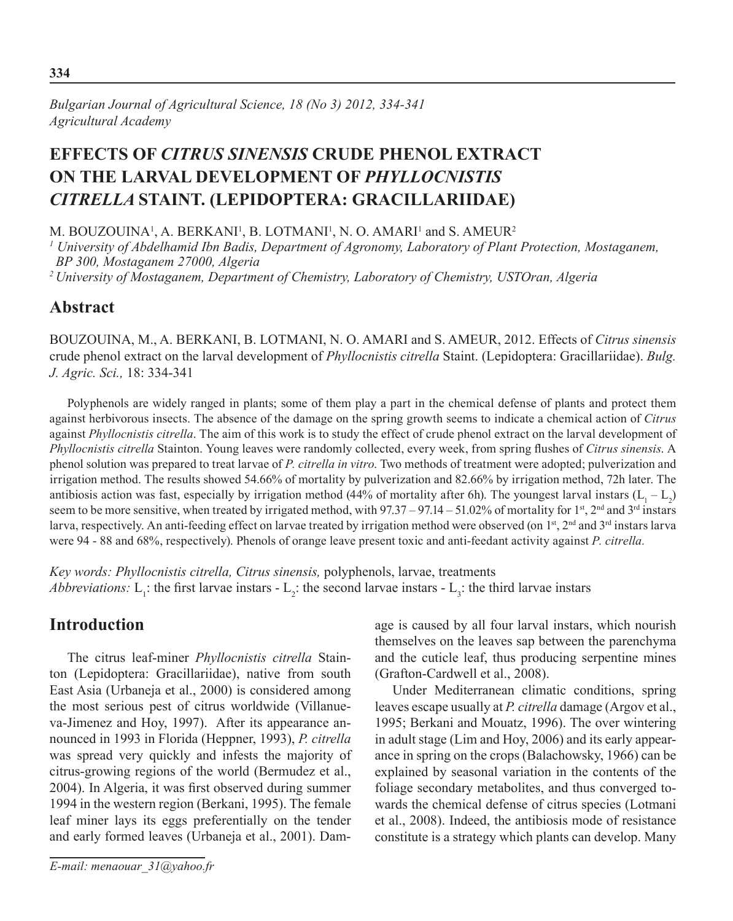# **Effects of** *Citrus sinensis* **crude phenol extract on the larval development of** *Phyllocnistis citrella* **Staint. (Lepidoptera: Gracillariidae)**

M. BOUZOUINA<sup>1</sup>, A. BERKANI<sup>1</sup>, B. LOTMANI<sup>1</sup>, N. O. AMARI<sup>1</sup> and S. AMEUR<sup>2</sup>

*1 University of Abdelhamid Ibn Badis, Department of Agronomy, Laboratory of Plant Protection, Mostaganem, BP 300, Mostaganem 27000, Algeria*

*2 University of Mostaganem, Department of Chemistry, Laboratory of Chemistry, USTOran, Algeria*

## **Abstract**

BOUZOUINA, M., A. BERKANI, B. LOTMANI, N. O. AMARI and S. AMEUR, 2012. Effects of *Citrus sinensis* crude phenol extract on the larval development of *Phyllocnistis citrella* Staint. (Lepidoptera: Gracillariidae). *Bulg. J. Agric. Sci.,* 18: 334-341

Polyphenols are widely ranged in plants; some of them play a part in the chemical defense of plants and protect them against herbivorous insects. The absence of the damage on the spring growth seems to indicate a chemical action of *Citrus* against *Phyllocnistis citrella*. The aim of this work is to study the effect of crude phenol extract on the larval development of *Phyllocnistis citrella* Stainton. Young leaves were randomly collected, every week, from spring flushes of *Citrus sinensis*. A phenol solution was prepared to treat larvae of *P. citrella in vitro*. Two methods of treatment were adopted; pulverization and irrigation method. The results showed 54.66% of mortality by pulverization and 82.66% by irrigation method, 72h later. The antibiosis action was fast, especially by irrigation method (44% of mortality after 6h). The youngest larval instars  $(L_1 - L_2)$ seem to be more sensitive, when treated by irrigated method, with 97.37 – 97.14 – 51.02% of mortality for 1<sup>st</sup>, 2<sup>nd</sup> and 3<sup>rd</sup> instars larva, respectively. An anti-feeding effect on larvae treated by irrigation method were observed (on 1<sup>st</sup>, 2<sup>nd</sup> and 3<sup>rd</sup> instars larva were 94 - 88 and 68%, respectively). Phenols of orange leave present toxic and anti-feedant activity against *P. citrella.*

*Key words: Phyllocnistis citrella, Citrus sinensis,* polyphenols, larvae, treatments *Abbreviations:*  $L_1$ : the first larvae instars -  $L_2$ : the second larvae instars -  $L_3$ : the third larvae instars

# **Introduction**

The citrus leaf-miner *Phyllocnistis citrella* Stainton (Lepidoptera: Gracillariidae), native from south East Asia (Urbaneja et al., 2000) is considered among the most serious pest of citrus worldwide (Villanueva-Jimenez and Hoy, 1997). After its appearance announced in 1993 in Florida (Heppner, 1993), *P. citrella* was spread very quickly and infests the majority of citrus-growing regions of the world (Bermudez et al., 2004). In Algeria, it was first observed during summer 1994 in the western region (Berkani, 1995). The female leaf miner lays its eggs preferentially on the tender and early formed leaves (Urbaneja et al., 2001). Damage is caused by all four larval instars, which nourish themselves on the leaves sap between the parenchyma and the cuticle leaf, thus producing serpentine mines (Grafton-Cardwell et al., 2008).

Under Mediterranean climatic conditions, spring leaves escape usually at *P. citrella* damage (Argov et al., 1995; Berkani and Mouatz, 1996). The over wintering in adult stage (Lim and Hoy, 2006) and its early appearance in spring on the crops (Balachowsky, 1966) can be explained by seasonal variation in the contents of the foliage secondary metabolites, and thus converged towards the chemical defense of citrus species (Lotmani et al., 2008). Indeed, the antibiosis mode of resistance constitute is a strategy which plants can develop. Many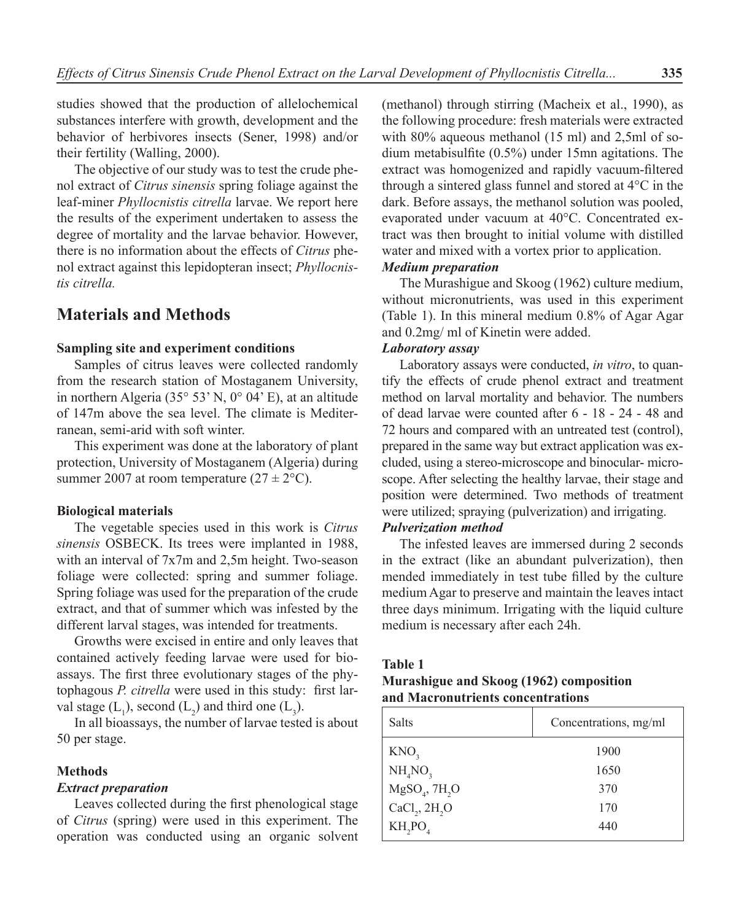studies showed that the production of allelochemical substances interfere with growth, development and the behavior of herbivores insects (Sener, 1998) and/or their fertility (Walling, 2000).

The objective of our study was to test the crude phenol extract of *Citrus sinensis* spring foliage against the leaf-miner *Phyllocnistis citrella* larvae. We report here the results of the experiment undertaken to assess the degree of mortality and the larvae behavior. However, there is no information about the effects of *Citrus* phenol extract against this lepidopteran insect; *Phyllocnistis citrella.*

## **Materials and Methods**

### **Sampling site and experiment conditions**

Samples of citrus leaves were collected randomly from the research station of Mostaganem University, in northern Algeria (35° 53' N, 0° 04' E), at an altitude of 147m above the sea level. The climate is Mediterranean, semi-arid with soft winter.

This experiment was done at the laboratory of plant protection, University of Mostaganem (Algeria) during summer 2007 at room temperature  $(27 \pm 2^{\circ} \text{C})$ .

#### **Biological materials**

The vegetable species used in this work is *Citrus sinensis* OSBECK. Its trees were implanted in 1988, with an interval of 7x7m and 2,5m height. Two-season foliage were collected: spring and summer foliage. Spring foliage was used for the preparation of the crude extract, and that of summer which was infested by the different larval stages, was intended for treatments.

Growths were excised in entire and only leaves that contained actively feeding larvae were used for bioassays. The first three evolutionary stages of the phytophagous *P. citrella* were used in this study: first larval stage  $(L_1)$ , second  $(L_2)$  and third one  $(L_3)$ .

In all bioassays, the number of larvae tested is about 50 per stage.

#### **Methods**

#### *Extract preparation*

Leaves collected during the first phenological stage of *Citrus* (spring) were used in this experiment. The operation was conducted using an organic solvent (methanol) through stirring (Macheix et al., 1990), as the following procedure: fresh materials were extracted with 80% aqueous methanol (15 ml) and 2,5ml of sodium metabisulfite (0.5%) under 15mn agitations. The extract was homogenized and rapidly vacuum-filtered through a sintered glass funnel and stored at 4°C in the dark. Before assays, the methanol solution was pooled, evaporated under vacuum at 40°C. Concentrated extract was then brought to initial volume with distilled water and mixed with a vortex prior to application.

### *Medium preparation*

The Murashigue and Skoog (1962) culture medium, without micronutrients, was used in this experiment (Table 1). In this mineral medium 0.8% of Agar Agar and 0.2mg/ ml of Kinetin were added.

#### *Laboratory assay*

Laboratory assays were conducted, *in vitro*, to quantify the effects of crude phenol extract and treatment method on larval mortality and behavior. The numbers of dead larvae were counted after 6 - 18 - 24 - 48 and 72 hours and compared with an untreated test (control), prepared in the same way but extract application was excluded, using a stereo-microscope and binocular- microscope. After selecting the healthy larvae, their stage and position were determined. Two methods of treatment were utilized; spraying (pulverization) and irrigating.

### *Pulverization method*

The infested leaves are immersed during 2 seconds in the extract (like an abundant pulverization), then mended immediately in test tube filled by the culture medium Agar to preserve and maintain the leaves intact three days minimum. Irrigating with the liquid culture medium is necessary after each 24h.

#### **Table 1**

## **Murashigue and Skoog (1962) composition and Macronutrients concentrations**

| Salts                                         | Concentrations, mg/ml |  |  |  |  |
|-----------------------------------------------|-----------------------|--|--|--|--|
| KNO <sub>3</sub>                              | 1900                  |  |  |  |  |
| NH <sub>4</sub> NO <sub>3</sub>               | 1650                  |  |  |  |  |
| $\mathrm{MgSO}_4$ , $7\mathrm{H}_2\mathrm{O}$ | 370                   |  |  |  |  |
| CaCl <sub>2</sub> , 2H <sub>2</sub> O         | 170                   |  |  |  |  |
| $KH_2PO_4$                                    | 440                   |  |  |  |  |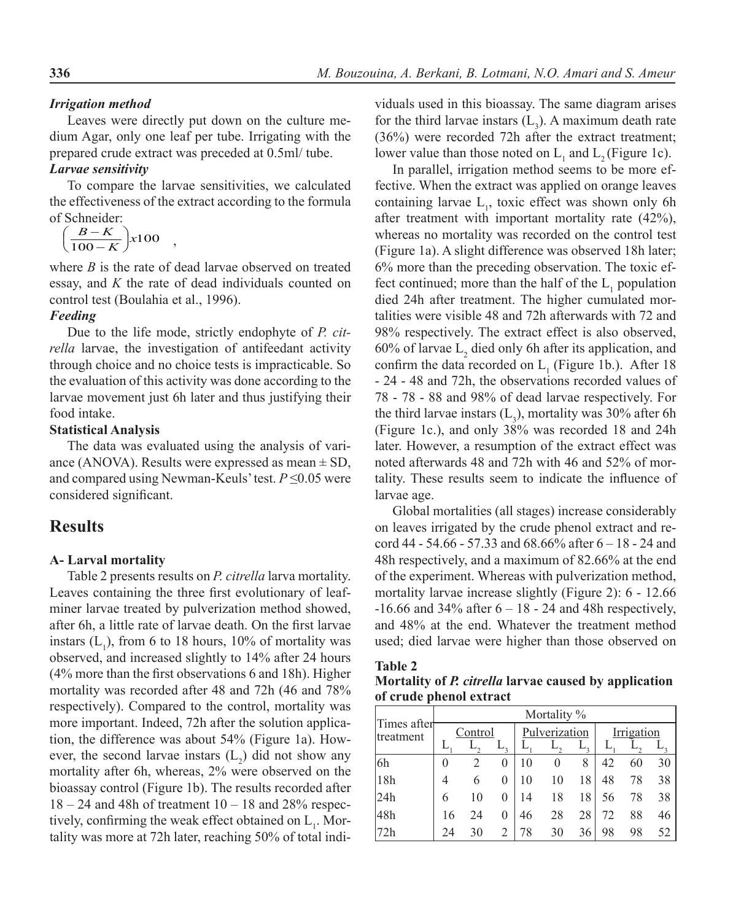#### *Irrigation method*

Leaves were directly put down on the culture medium Agar, only one leaf per tube. Irrigating with the prepared crude extract was preceded at 0.5ml/ tube.

### *Larvae sensitivity*

To compare the larvae sensitivities, we calculated the effectiveness of the extract according to the formula of Schneider:

$$
\left(\frac{B-K}{100-K}\right) x 100 \quad ,
$$

where *B* is the rate of dead larvae observed on treated essay, and *K* the rate of dead individuals counted on control test (Boulahia et al., 1996).

### *Feeding*

Due to the life mode, strictly endophyte of *P. citrella* larvae, the investigation of antifeedant activity through choice and no choice tests is impracticable. So the evaluation of this activity was done according to the larvae movement just 6h later and thus justifying their food intake.

#### **Statistical Analysis**

The data was evaluated using the analysis of variance (ANOVA). Results were expressed as mean  $\pm$  SD, and compared using Newman-Keuls' test. *P* ≤0.05 were considered significant.

## **Results**

#### **A- Larval mortality**

Table 2 presents results on *P. citrella* larva mortality. Leaves containing the three first evolutionary of leafminer larvae treated by pulverization method showed, after 6h, a little rate of larvae death. On the first larvae instars  $(L_1)$ , from 6 to 18 hours, 10% of mortality was observed, and increased slightly to 14% after 24 hours (4% more than the first observations 6 and 18h). Higher mortality was recorded after 48 and 72h (46 and 78% respectively). Compared to the control, mortality was more important. Indeed, 72h after the solution application, the difference was about 54% (Figure 1a). However, the second larvae instars  $(L_2)$  did not show any mortality after 6h, whereas, 2% were observed on the bioassay control (Figure 1b). The results recorded after  $18 - 24$  and 48h of treatment  $10 - 18$  and  $28\%$  respectively, confirming the weak effect obtained on  $L_1$ . Mortality was more at 72h later, reaching 50% of total individuals used in this bioassay. The same diagram arises for the third larvae instars  $(L_3)$ . A maximum death rate (36%) were recorded 72h after the extract treatment; lower value than those noted on  $L_1$  and  $L_2$  (Figure 1c).

In parallel, irrigation method seems to be more effective. When the extract was applied on orange leaves containing larvae  $L_1$ , toxic effect was shown only 6h after treatment with important mortality rate (42%), whereas no mortality was recorded on the control test (Figure 1a). A slight difference was observed 18h later; 6% more than the preceding observation. The toxic effect continued; more than the half of the  $L_1$  population died 24h after treatment. The higher cumulated mortalities were visible 48 and 72h afterwards with 72 and 98% respectively. The extract effect is also observed, 60% of larvae  $L_2$  died only 6h after its application, and confirm the data recorded on  $L_1$  (Figure 1b.). After 18 - 24 - 48 and 72h, the observations recorded values of 78 - 78 - 88 and 98% of dead larvae respectively. For the third larvae instars  $(L_3)$ , mortality was 30% after 6h (Figure 1c.), and only 38% was recorded 18 and 24h later. However, a resumption of the extract effect was noted afterwards 48 and 72h with 46 and 52% of mortality. These results seem to indicate the influence of larvae age.

Global mortalities (all stages) increase considerably on leaves irrigated by the crude phenol extract and record 44 - 54.66 - 57.33 and 68.66% after  $6 - 18$  - 24 and 48h respectively, and a maximum of 82.66% at the end of the experiment. Whereas with pulverization method, mortality larvae increase slightly (Figure 2): 6 - 12.66  $-16.66$  and 34% after  $6 - 18 - 24$  and 48h respectively, and 48% at the end. Whatever the treatment method used; died larvae were higher than those observed on

#### **Table 2 Mortality of** *P. citrella* **larvae caused by application of crude phenol extract**

| Times after<br>Itreatment | Mortality % |    |               |    |              |            |    |    |    |
|---------------------------|-------------|----|---------------|----|--------------|------------|----|----|----|
|                           | Control     |    | Pulverization |    |              | Irrigation |    |    |    |
|                           |             |    |               |    |              | L,         |    |    |    |
| 6h                        | 0           |    | $\theta$      | 10 | $\mathbf{0}$ | 8          | 42 | 60 | 30 |
| 18h                       | 4           | 6  | 0             | 10 | 10           | 18         | 48 | 78 | 38 |
| 24h                       | 6           | 10 | 0             | 14 | 18           | 18         | 56 | 78 | 38 |
| 48h                       | 16          | 24 | $\theta$      | 46 | 28           | 28         | 72 | 88 | 46 |
| 72h                       | 24          | 30 | 2             | 78 | 30           | 36         | 98 | 98 | 52 |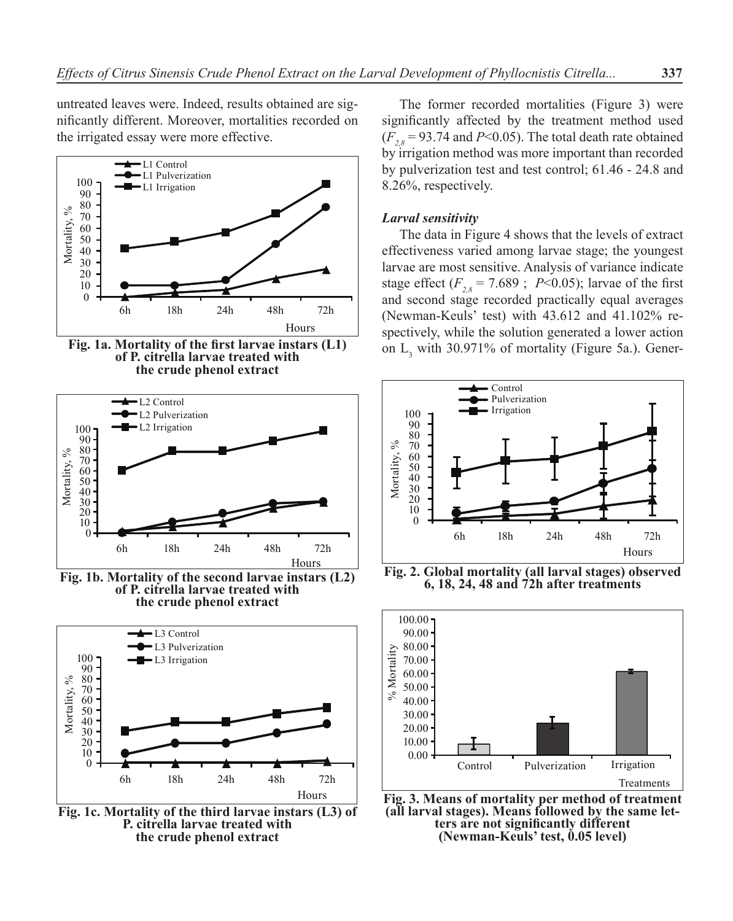untreated leaves were. Indeed, results obtained are significantly different. Moreover, mortalities recorded on the irrigated essay were more effective.



**Fig. 1a. Mortality of the first larvae instars (L1) of P. citrella larvae treated with the crude phenol extract**



**Fig. 1b. Mortality of the second larvae instars (L2) of P. citrella larvae treated with the crude phenol extract**



**Fig. 1c. Mortality of the third larvae instars (L3) of P. citrella larvae treated with the crude phenol extract**

The former recorded mortalities (Figure 3) were significantly affected by the treatment method used  $(F_{28} = 93.74$  and *P*<0.05). The total death rate obtained by irrigation method was more important than recorded by pulverization test and test control; 61.46 - 24.8 and 8.26%, respectively.

#### *Larval sensitivity*

The data in Figure 4 shows that the levels of extract effectiveness varied among larvae stage; the youngest larvae are most sensitive. Analysis of variance indicate stage effect  $(F_{2,8} = 7.689$ ; *P*<0.05); larvae of the first and second stage recorded practically equal averages (Newman-Keuls' test) with 43.612 and 41.102% respectively, while the solution generated a lower action on  $L_3$  with 30.971% of mortality (Figure 5a.). Gener-



**Fig. 2. Global mortality (all larval stages) observed 6, 18, 24, 48 and 72h after treatments**



**Fig. 3. Means of mortality per method of treatment (all larval stages). Means followed by the same let- ters are not significantly different (Newman-Keuls' test, 0.05 level)**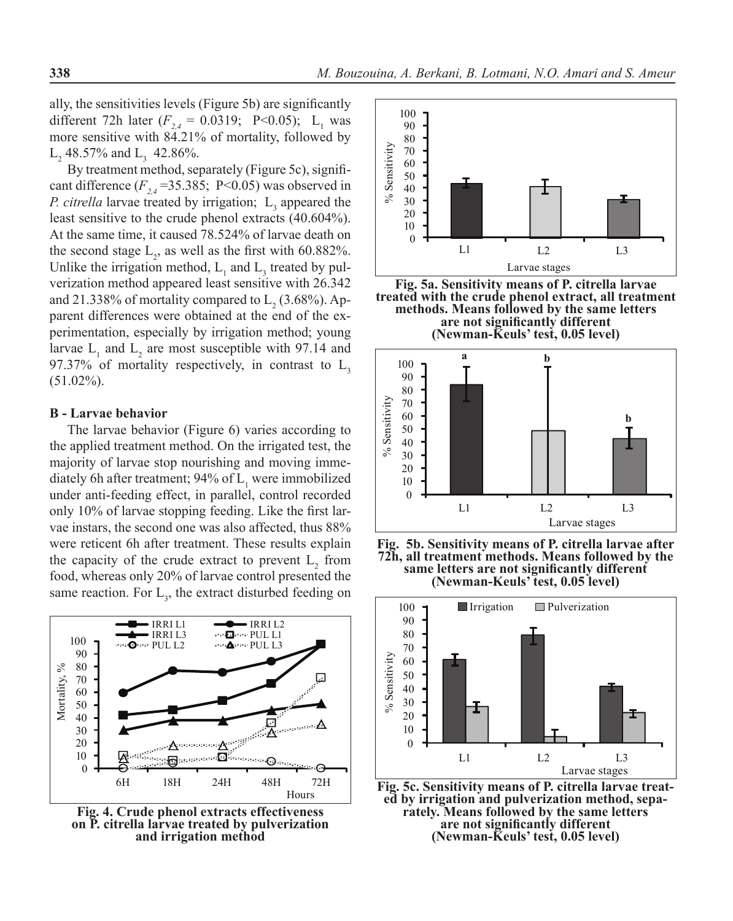ally, the sensitivities levels (Figure 5b) are significantly different 72h later  $(F_{2,4} = 0.0319; \text{ P} < 0.05); \text{ L}_1$  was more sensitive with 84.21% of mortality, followed by  $L_2$  48.57% and  $L_3$  42.86%.

By treatment method, separately (Figure 5c), significant difference  $(F_{24} = 35.385; P \le 0.05)$  was observed in *P. citrella* larvae treated by irrigation;  $L_3$  appeared the least sensitive to the crude phenol extracts (40.604%). At the same time, it caused 78.524% of larvae death on the second stage  $L_2$ , as well as the first with 60.882%. Unlike the irrigation method,  $L_1$  and  $L_3$  treated by pulverization method appeared least sensitive with 26.342 and 21.338% of mortality compared to  $L_2$  (3.68%). Apparent differences were obtained at the end of the experimentation, especially by irrigation method; young larvae  $L_1$  and  $L_2$  are most susceptible with 97.14 and 97.37% of mortality respectively, in contrast to  $L<sub>2</sub>$ (51.02%).

#### **B - Larvae behavior**

The larvae behavior (Figure 6) varies according to the applied treatment method. On the irrigated test, the majority of larvae stop nourishing and moving immediately 6h after treatment; 94% of  $L_1$  were immobilized under anti-feeding effect, in parallel, control recorded only 10% of larvae stopping feeding. Like the first larvae instars, the second one was also affected, thus 88% were reticent 6h after treatment. These results explain the capacity of the crude extract to prevent  $L_2$  from food, whereas only 20% of larvae control presented the same reaction. For  $L<sub>3</sub>$ , the extract disturbed feeding on



**Fig. 4. Crude phenol extracts effectiveness on P. citrella larvae treated by pulverization and irrigation method**



**Fig. 5a. Sensitivity means of P. citrella larvae treated with the crude phenol extract, all treatment methods. Means followed by the same letters are not significantly different (Newman-Keuls' test, 0.05 level)**



**Fig. 5b. Sensitivity means of P. citrella larvae after 72h, all treatment methods. Means followed by the same letters are not significantly different (Newman-Keuls' test, 0.05 level)**



**Fig. 5c. Sensitivity means of P. citrella larvae treat- ed by irrigation and pulverization method, sepa- rately. Means followed by the same letters are not significantly different (Newman-Keuls' test, 0.05 level)**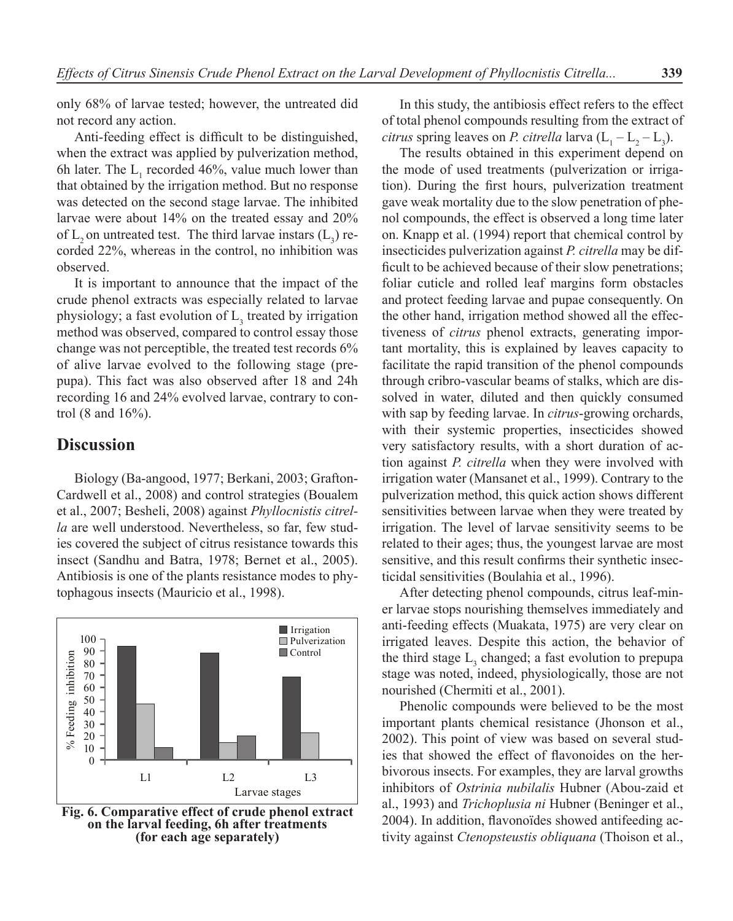only 68% of larvae tested; however, the untreated did not record any action.

Anti-feeding effect is difficult to be distinguished, when the extract was applied by pulverization method, 6h later. The  $L_1$  recorded 46%, value much lower than that obtained by the irrigation method. But no response was detected on the second stage larvae. The inhibited larvae were about 14% on the treated essay and 20% of  $L_2$  on untreated test. The third larvae instars  $(L_3)$  recorded 22%, whereas in the control, no inhibition was observed.

It is important to announce that the impact of the crude phenol extracts was especially related to larvae physiology; a fast evolution of  $L<sub>3</sub>$  treated by irrigation method was observed, compared to control essay those change was not perceptible, the treated test records 6% of alive larvae evolved to the following stage (prepupa). This fact was also observed after 18 and 24h recording 16 and 24% evolved larvae, contrary to control (8 and 16%).

## **Discussion**

Biology (Ba-angood, 1977; Berkani, 2003; Grafton-Cardwell et al., 2008) and control strategies (Boualem et al., 2007; Besheli, 2008) against *Phyllocnistis citrella* are well understood. Nevertheless, so far, few studies covered the subject of citrus resistance towards this insect (Sandhu and Batra, 1978; Bernet et al., 2005). Antibiosis is one of the plants resistance modes to phytophagous insects (Mauricio et al., 1998).



**Fig. 6. Comparative effect of crude phenol extract on the larval feeding, 6h after treatments (for each age separately)**

In this study, the antibiosis effect refers to the effect of total phenol compounds resulting from the extract of *citrus* spring leaves on *P. citrella* larva  $(L_1 - L_2 - L_3)$ .

The results obtained in this experiment depend on the mode of used treatments (pulverization or irrigation). During the first hours, pulverization treatment gave weak mortality due to the slow penetration of phenol compounds, the effect is observed a long time later on. Knapp et al. (1994) report that chemical control by insecticides pulverization against *P. citrella* may be difficult to be achieved because of their slow penetrations; foliar cuticle and rolled leaf margins form obstacles and protect feeding larvae and pupae consequently. On the other hand, irrigation method showed all the effectiveness of *citrus* phenol extracts, generating important mortality, this is explained by leaves capacity to facilitate the rapid transition of the phenol compounds through cribro-vascular beams of stalks, which are dissolved in water, diluted and then quickly consumed with sap by feeding larvae. In *citrus*-growing orchards, with their systemic properties, insecticides showed very satisfactory results, with a short duration of action against *P. citrella* when they were involved with irrigation water (Mansanet et al., 1999). Contrary to the pulverization method, this quick action shows different sensitivities between larvae when they were treated by irrigation. The level of larvae sensitivity seems to be related to their ages; thus, the youngest larvae are most sensitive, and this result confirms their synthetic insecticidal sensitivities (Boulahia et al., 1996).

After detecting phenol compounds, citrus leaf-miner larvae stops nourishing themselves immediately and anti-feeding effects (Muakata, 1975) are very clear on irrigated leaves. Despite this action, the behavior of the third stage  $L_3$  changed; a fast evolution to prepupa stage was noted, indeed, physiologically, those are not nourished (Chermiti et al., 2001).

Phenolic compounds were believed to be the most important plants chemical resistance (Jhonson et al., 2002). This point of view was based on several studies that showed the effect of flavonoides on the herbivorous insects. For examples, they are larval growths inhibitors of *Ostrinia nubilalis* Hubner (Abou-zaid et al., 1993) and *Trichoplusia ni* Hubner (Beninger et al., 2004). In addition, flavonoïdes showed antifeeding activity against *Ctenopsteustis obliquana* (Thoison et al.,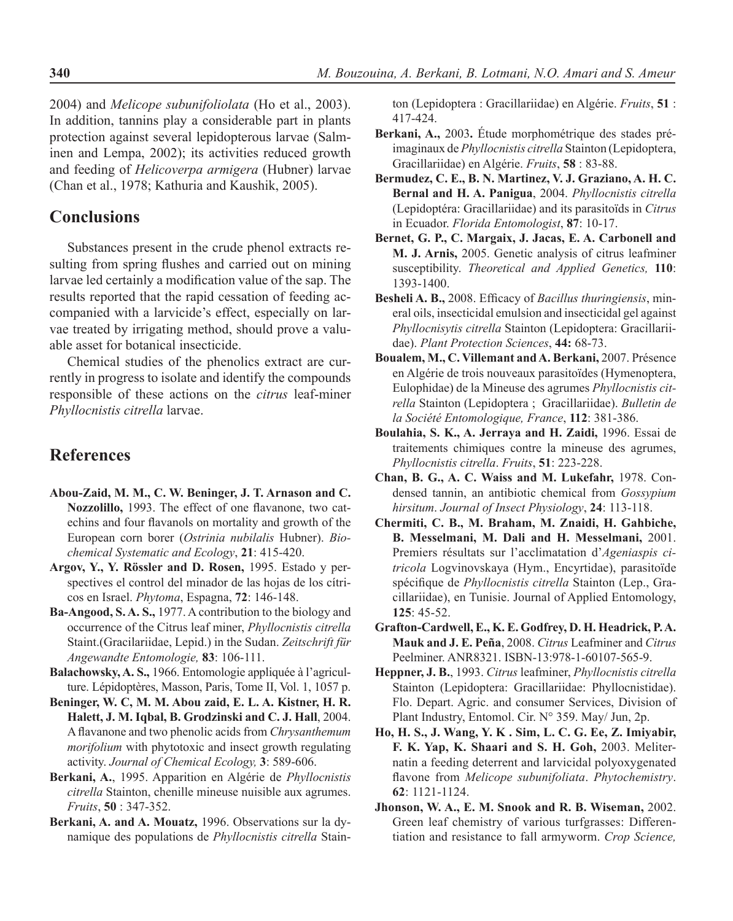2004) and *Melicope subunifoliolata* (Ho et al., 2003). In addition, tannins play a considerable part in plants protection against several lepidopterous larvae (Salminen and Lempa, 2002); its activities reduced growth and feeding of *Helicoverpa armigera* (Hubner) larvae (Chan et al., 1978; Kathuria and Kaushik, 2005).

## **Conclusions**

Substances present in the crude phenol extracts resulting from spring flushes and carried out on mining larvae led certainly a modification value of the sap. The results reported that the rapid cessation of feeding accompanied with a larvicide's effect, especially on larvae treated by irrigating method, should prove a valuable asset for botanical insecticide.

Chemical studies of the phenolics extract are currently in progress to isolate and identify the compounds responsible of these actions on the *citrus* leaf-miner *Phyllocnistis citrella* larvae.

## **References**

- **Abou-Zaid, M. M., C. W. Beninger, J. T. Arnason and C. Nozzolillo,** 1993. The effect of one flavanone, two catechins and four flavanols on mortality and growth of the European corn borer (*Ostrinia nubilalis* Hubner). *Biochemical Systematic and Ecology*, **21**: 415-420.
- **Argov, Y., Y. Rössler and D. Rosen,** 1995. Estado y perspectives el control del minador de las hojas de los cítricos en Israel. *Phytoma*, Espagna, **72**: 146-148.
- **Ba-Angood, S. A. S.,** 1977. A contribution to the biology and occurrence of the Citrus leaf miner, *Phyllocnistis citrella* Staint.(Gracilariidae, Lepid.) in the Sudan. *Zeitschrift für Angewandte Entomologie,* **83**: 106-111.
- **Balachowsky, A. S.,** 1966. Entomologie appliquée à l'agriculture. Lépidoptères, Masson, Paris, Tome II, Vol. 1, 1057 p.
- **Beninger, W. C, M. M. Abou zaid, E. L. A. Kistner, H. R. Halett, J. M. Iqbal, B. Grodzinski and C. J. Hall**, 2004. A flavanone and two phenolic acids from *Chrysanthemum morifolium* with phytotoxic and insect growth regulating activity. *Journal of Chemical Ecology,* **3**: 589-606.
- **Berkani, A.**, 1995. Apparition en Algérie de *Phyllocnistis citrella* Stainton, chenille mineuse nuisible aux agrumes. *Fruits*, **50** : 347-352.

**Berkani, A. and A. Mouatz,** 1996. Observations sur la dynamique des populations de *Phyllocnistis citrella* Stain-

ton (Lepidoptera : Gracillariidae) en Algérie. *Fruits*, **51** : 417-424.

- **Berkani, A.,** 2003**.** Étude morphométrique des stades préimaginaux de *Phyllocnistis citrella* Stainton (Lepidoptera, Gracillariidae) en Algérie. *Fruits*, **58** : 83-88.
- **Bermudez, C. E., B. N. Martinez, V. J. Graziano, A. H. C. Bernal and H. A. Panigua**, 2004. *Phyllocnistis citrella* (Lepidoptéra: Gracillariidae) and its parasitoïds in *Citrus* in Ecuador. *Florida Entomologist*, **87**: 10-17.
- **Bernet, G. P., C. Margaix, J. Jacas, E. A. Carbonell and M. J. Arnis,** 2005. Genetic analysis of citrus leafminer susceptibility. *Theoretical and Applied Genetics,* **110**: 1393-1400.
- **Besheli A. B.,** 2008. Efficacy of *Bacillus thuringiensis*, mineral oils, insecticidal emulsion and insecticidal gel against *Phyllocnisytis citrella* Stainton (Lepidoptera: Gracillariidae). *Plant Protection Sciences*, **44:** 68-73.
- **Boualem, M., C. Villemant and A. Berkani,** 2007. Présence en Algérie de trois nouveaux parasitoïdes (Hymenoptera, Eulophidae) de la Mineuse des agrumes *Phyllocnistis citrella* Stainton (Lepidoptera ; Gracillariidae). *Bulletin de la Société Entomologique, France*, **112**: 381-386.
- **Boulahia, S. K., A. Jerraya and H. Zaidi,** 1996. Essai de traitements chimiques contre la mineuse des agrumes, *Phyllocnistis citrella*. *Fruits*, **51**: 223-228.
- **Chan, B. G., A. C. Waiss and M. Lukefahr,** 1978. Condensed tannin, an antibiotic chemical from *Gossypium hirsitum*. *Journal of Insect Physiology*, **24**: 113-118.
- **Chermiti, C. B., M. Braham, M. Znaidi, H. Gahbiche, B. Messelmani, M. Dali and H. Messelmani,** 2001. Premiers résultats sur l'acclimatation d'*Ageniaspis citricola* Logvinovskaya (Hym., Encyrtidae), parasitoïde spécifique de *Phyllocnistis citrella* Stainton (Lep., Gracillariidae), en Tunisie. Journal of Applied Entomology, **125**: 45-52.
- **Grafton-Cardwell, E., K. E. Godfrey, D. H. Headrick, P. A. Mauk and J. E. Peña**, 2008. *Citrus* Leafminer and *Citrus* Peelminer. ANR8321. ISBN-13:978-1-60107-565-9.
- **Heppner, J. B.**, 1993. *Citrus* leafminer, *Phyllocnistis citrella*  Stainton (Lepidoptera: Gracillariidae: Phyllocnistidae). Flo. Depart. Agric. and consumer Services, Division of Plant Industry, Entomol. Cir. N° 359. May/ Jun, 2p.
- **Ho, H. S., J. Wang, Y. K . Sim, L. C. G. Ee, Z. Imiyabir, F. K. Yap, K. Shaari and S. H. Goh,** 2003. Meliternatin a feeding deterrent and larvicidal polyoxygenated flavone from *Melicope subunifoliata*. *Phytochemistry*. **62**: 1121-1124.
- **Jhonson, W. A., E. M. Snook and R. B. Wiseman,** 2002. Green leaf chemistry of various turfgrasses: Differentiation and resistance to fall armyworm. *Crop Science,*